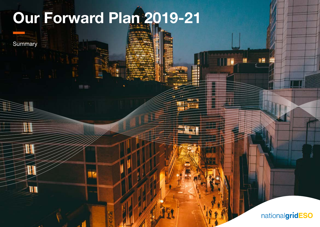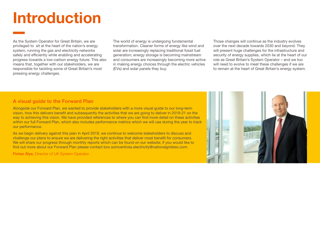## Introduction

As the System Operator for Great Britain, we are privileged to sit at the heart of the nation's energy system, running the gas and electricity networks safely and efficiently while enabling and accelerating progress towards a low-carbon energy future. This also means that, together with our stakeholders, we are responsible for tackling some of Great Britain's most pressing energy challenges.

The world of energy is undergoing fundamental transformation. Cleaner forms of energy like wind and solar are increasingly replacing traditional fossil fuel generation; energy storage is becoming mainstream and consumers are increasingly becoming more active in making energy choices through the electric vehicles (EVs) and solar panels they buy.

Those changes will continue as the industry evolves over the next decade towards 2030 and beyond. They will present huge challenges for the infrastructure and security of energy supplies, which lie at the heart of our role as Great Britain's System Operator – and we too will need to evolve to meet these challenges if we are to remain at the heart of Great Britain's energy system.

## A visual guide to the Forward Plan

Alongside our Forward Plan, we wanted to provide stakeholders with a more visual guide to our long-term vision, how this delivers benefit and subsequently the activities that we are going to deliver in 2019-21 on the way to achieving this vision. We have provided references to where you can find more detail on these activities within our full Forward Plan, which also includes performance metrics which we will use during the year to track our performance.

As we begin delivery against this plan in April 2019, we continue to welcome stakeholders to discuss and challenge our plans to ensure we are delivering the right activities that deliver most benefit for consumers. We will share our progress through monthly reports which can be found on our website; if you would like to find out more about our Forward Plan please contact [box.soincentives.electricity@nationalgrideso.com](http://box.soincentives.electricity@nationalgrideso.com).

Fintan Slye, Director of UK System Operator

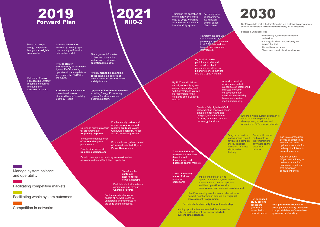## 2019 Forward Plan RIIO-2

Share our unique energy perspective through our **Insights documents.** 

Increase **information access** by developing a user-friendly self-service information portal.

**transparency of data used by our ENCC**, sharing

we prepare the ENCC for<br>the future.

**Deliver an Energy Forecasting** Strategy roadmap increasing the number of forecasts provided.

**Address** current and future **operational issues**  identified by our Operability Strategy Report.

Share greater information on how we balance the system and provide our **operational insights.** Provide greater

Actively **managing balancing costs** against a backdrop of decentralisation, decarbonisation and digitisation. operational planning data as

> **Upgrade of information systems**  including Energy Forecasting System, Ancillary services dispatch platform.

Deliver an auction platform for procurement of **frequency response.**

reform our **response and reserve products** to align with future operability needs and EU standard products.

Increase the transparency of our **reactive** power procurement.

Enable wider access to **Balancing Mechanism**.

Develop new approaches to system **restoration**  (also referred to as Black Start capability).

> Transform the **customer experience** for network charging.

Facilitate electricity network

Facilitate **code change** to enable all network users to understand and contribute to the code change process.

Transform the operation of Provide greater the electricity system so that, by 2025, we will be able to operate a carbon free electricity system. transparency of our selection and utilisation of resources.

> Transform the data we make available by providing a clear interface to all ESO data so it can be easily accessed and terrogated.

By 2023 all market participants 1MW and above will be able to participate directly in our balancing service markets and the Capacity Market.

By 2025 we will deliver security of supply against a clear standard agreed with Government. We will be responsible for all elements of the Capacity Market.

> Create a fully digitalised Grid Code which is principles-based, simple to understand and navigate, and enables the flexibility required to support the energy transition.

> > to drive industry as it participants in navigates a complex their interactions Bring our expertise energy transition. facilitating informed whole system thinking.

Facilitate competition across all dimensions – enabling all viable options to compete for delivery of solutions to network problems. Reduce friction for anywhere on the electricity network.

operation of GB's energy networks.

Actively support Ofgem and industry to deliver a model for onshore competition that maximises consumer benefit.

#### Use **enhanced study tools** to assess the year-round transmission network needs.

Lead **pathfinder projects** to develop the necessary processes to support delivery of new whole system ways of working.

Transform the operation of Provide greater<br>the electricity system so transparency of

Our Mission is to enable the transformation to a sustainable energy system and ensure delivery of reliable affordable energy for all consumers.

Success in 2025 looks like:

- An electricity system that can operate
- carbon free
- A strategy for clean heat, and progress against that plan
- Competition everywhere
- The system operator is a trusted partner

Fundamentally review and

Promote industry development of demand side flexibility via **Power Responsive.**

charging reform through **Charging Futures.** 

Manage system balance and operability

Facilitating competitive markets

Facilitating whole system outcomes

Competition in networks

Transform **industry** 

**frameworks** to enable decentralised, decarbonised and digitalised energy markets.

Making **Electricity Market Reform** 

easier for participants

Implement a first of a kind system to measure system inertia in real-time and use it to optimise real-time **operation, service procurement and network development.**

Identify operability solutions as an alternative to network asset solutions through our **Regional Development Programmes.**

Provide **whole electricity thought leadership**.

Identify opportunities to more flexibly operate the network and further roll out enhanced **whole system data exchange.**

Ensure a whole system approach is taken to optimise planning development, investment and inertia and stability.

A sandbox market environment will sit alongside our established markets to enable co-development of solutions to operability issues such system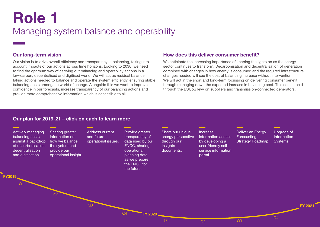# Role 1

## Managing system balance and operability

## Our long-term vision

Our vision is to drive overall efficiency and transparency in balancing, taking into account impacts of our actions across time horizons. Looking to 2030, we need to find the optimum way of carrying out balancing and operability actions in a low-carbon, decentralised and digitised world. We will act as residual balancer, taking actions needed to balance and operate the system efficiently, ensuring stable balancing costs amongst a world of change. Alongside this we want to improve confidence in our forecasts, increase transparency of our balancing actions and provide more comprehensive information which is accessible to all.

### How does this deliver consumer benefit?

We anticipate the increasing importance of keeping the lights on as the energy sector continues to transform. Decarbonisation and decentralisation of generation combined with changes in how energy is consumed and the required infrastructure changes needed will see the cost of balancing increase without intervention. We will act in the short and long-term focussing on delivering consumer benefit through managing down the expected increase in balancing cost. This cost is paid through the BSUoS levy on suppliers and transmission-connected generators.

**PAGE 17-18** 

X

## Our plan for 2019-21 – click on each to learn more

#### *Active manager of links* balanciens continued continued continued continued continued continued continued continued continued continued <br>Septembre continued continued continued continued continued continued continued continued continued continued skiem Cyclome المستخدم المستخدم المستخدم المستخدم المستخدم المستخدم المستخدم والمستخدم المستخدم المستخدم المستخدم المستخدم المستخدم المستخدم المستخدم المستخدم المستخدم المستخدم المستخدم المستخدم المستخدم المستخدم المستخدم المستخدم المس

Deliver upgrades to several IS systems including the Energy Forecasting System (EFS), development of the Ancillary Services Dispatch Platform (ASDP), and changes to **Systems to comply with the latest European Network codes.** The company of the company of the company of the comp Information Increase information access by developing a user-friendly service information portal. PAGE 2014 In the contract of  $\sim$ Deliver and the control of the control of the control of the control of the control of the control of the control of the control of the control of the control of the control of the control of the control of the control of

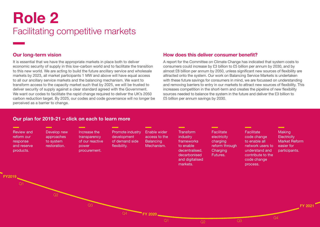## Role 2 Facilitating competitive markets

## Our long-term vision

It is essential that we have the appropriate markets in place both to deliver economic security of supply in this low-carbon world and to facilitate the transition to this new world. We are acting to build the future ancillary service and wholesale markets by 2023, all market participants 1 MW and above will have equal access to all our ancillary service markets and the balancing mechanism. We want to transform access to the capacity market such that by 2025, we will be trusted to deliver security of supply against a clear standard agreed with the Government. We want our codes to facilitate the rapid change required to deliver the UK's 2050 carbon reduction target. By 2025, our codes and code governance will no longer be perceived as a barrier to change.

## Our plan for 2019-21 – click on each to learn more

### How does this deliver consumer benefit?

A report for the Committee on Climate Change has indicated that system costs to consumers could increase by £3 billion to £5 billion per annum by 2030, and by almost £8 billion per annum by 2050, unless significant new sources of flexibility are attracted onto the system. Our work on Balancing Service Markets is undertaken with these future savings for consumers in mind, we are focussed on understanding and removing barriers to entry in our markets to attract new sources of flexibility. This increases competition in the short-term and creates the pipeline of new flexibility sources needed to balance the system in the future and deliver the £3 billion to £5 billion per annum savings by 2030.

X

| Facilitate code change to enable all network users to understand and contribute to the code change process.                                                                                                                                                                                                                                             |                                                                         |                                                                                                                   |                                                                                                                    | <b>PAGE 39-40</b> |
|---------------------------------------------------------------------------------------------------------------------------------------------------------------------------------------------------------------------------------------------------------------------------------------------------------------------------------------------------------|-------------------------------------------------------------------------|-------------------------------------------------------------------------------------------------------------------|--------------------------------------------------------------------------------------------------------------------|-------------------|
| We will work with industry to ensure codes keep pace with the rapidly changing energy generation and supply landscape and help stakeholders access information in a<br>clear and transparent way, to enable informed and value-adding debate.                                                                                                           |                                                                         |                                                                                                                   |                                                                                                                    |                   |
| Market design for reformed<br>reserve and blowed Balancing Services Charges Task                                                                                                                                                                                                                                                                        | decarbonised<br>and digitalised<br>markets.                             | Futures.                                                                                                          | contribute to the<br>code change<br>process.                                                                       |                   |
| <b>MAGHARA TOPA SORO BESO DIGINALE PUDISH AND ESO DIGINALE VEL</b><br>Work with Industry to Getting<br>proferers to time and entertained and the meaning of the street Modelling<br>housiny to detain the state of the distribution of BNO Mshatch.<br>The street participation in the provide security of sup<br><b>Coat best yalue for consumers.</b> | equency                                                                 | <b>Implement</b><br>approach for<br>efficient reactive<br>ction trial <sup>power</sup> flows<br>between networks. | Commence<br>implementation plan<br>to enable rollout<br>new approach to<br>competitive reactive<br>power services. |                   |
| NIC project, Black Start from DER to look<br>at the concept of berigration of estan PMeSTOR<br>M.<br>electricity system dtrindeternion of algorithm and code Administrator<br>rather than the transprise of Plactice (CACoP) Principles.                                                                                                                | ble bland fargelystel datable his godvæg se rei dissv<br>O <sub>2</sub> |                                                                                                                   | Q4<br>$\Omega$                                                                                                     |                   |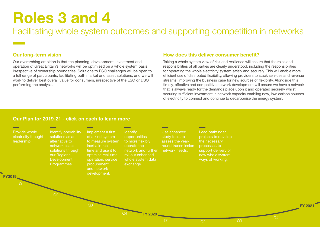# Roles 3 and 4

Facilitating whole system outcomes and supporting competition in networks

## Our long-term vision

Our overarching ambition is that the planning, development, investment and operation of Great Britain's networks will be optimised on a whole system basis, irrespective of ownership boundaries. Solutions to ESO challenges will be open to a full range of participants, facilitating both market and asset solutions; and we will work to deliver best overall value for consumers, irrespective of the ESO or DSO performing the analysis.

## How does this deliver consumer benefit?

Taking a whole system view of risk and resilience will ensure that the roles and responsibilities of all parties are clearly understood, including the responsibilities for operating the whole electricity system safely and securely. This will enable more efficient use of distributed flexibility, allowing providers to stack services and revenue streams, improving the business case for new sources of flexibility. Alongside this timely, effective and competitive network development will ensure we have a network that is always ready for the demands place upon it and operated securely whilst securing sufficient investment in network capacity enabling new, low-carbon sources of electricity to connect and continue to decarbonise the energy system.

X

### Our Plan for 2019-21 - click on each to learn more

Q2 Q3  $Q<sub>4</sub>$ FY2019 **FY 2020 FY 202** Provide whole filled who who district the contract of the contract of the contract of the contract of the contract of the contract of the contract of the contract of the contract of the contract of the contract of the cont Ecad patininuo We will deliver pathfinding projects to expanding our approach to network development by developing an approach to comparing network and non-network solutions <u>iaiaata ta dauslan</u> solutions to deve that have different lifetimes or contracting periods. The contract of the contract of the contract of the contracting periods. ietwork opera Development **RIGHAMMES.** <u>.</u><br>2000 - 2000 - 2000 - 2000 - 2000 - 2000 - 2000 - 2000 - 2000 - 2000 - 2000 - 2000 - 2000 - 2000 - 2000 - 2000 - $\sigma$  recessary product nplement Loss of N <mark>operation, service</mark> procurement and **Marketing** development.  $\ddot{\phantom{1}}$ opportunities to support and engage other network operators to implement Loss of Mains changes more widely. whole system uata exchange. use maururhala studies to the *study* <u>Lead pathward</u> projects to develop Identify operability solutions as an alternative to network asset solutions through our Regional Development Programmes (RDPs). 66-67Implement a first of a kind system to measure system inertia in real-time and use it to optimise real-time operation, service procurement opportunities to more flexibly operate the network and further roll out enhanced whole system data exchange. 71-72Use enhanced study tools to assess the year-round transmission network needs. 69-70Lead pathfinder projects to develop the necessary processes to support delivery of new ways of working. 67-69ways of working. Play a projection settlement in the ENA Open Networks project<br>
Play a projection settlement of the ENA Open Networks project.<br>
PLAY Open Networks project. Whole electricity system learnings. es sources the contract paper of the paper of the paper of the paper of the paper of the paper of the paper of on nongot, role will english WA WHOLE CORE E PRESERVE **system learnings.** ReCou<del>untification</del> process! ses.କ୍ଷେମ୍ପିରା **ଅପ୍ଟୋପ୍ଟେର୍** logy for how<br>automated dispatch STABILITY FOR GENERATION SION IN NOA. in highly constrained areas. intertripping of DER FOY TRANSMISSION **fault management.** Enhanced systems to facilitate balancing services DER: Constraint management pathfinder: intertripping of DER for transmission fault management. Commercial contracts for balancing services DofcomeFE anand enhanced <del>systemas t</del>o facilitate  $\alpha$ alan $\alpha$ ing services **DEB: DERMW dispatch** in **the NoAL**y between ESO,  $DNOs$  and  $DE$ Inertia measurement. Publish a methodology for how we intend to procure balancing services to enable RoCoF and vector shift changes. **Defining roles and** responsibility for yoltage management across the transmission-<br>distribution interfacesses with bothodology for how<br>also how interfaces we intend to procure balancing services to enable RocoF and vaster shift changes. FOUR PROGRAMMENT rounds to Roll out of Loss of Manys protection setting returnings. In all appendents pathfindercial flexibility architecture operational connections. whole exstem data **mariames.** Continuous stability pathfile between the production of tools and providence of tools and providence of tools a<br>Perspective of tools and providence of tools and providence of tools and providence of tools and providence of **Thermal probabilistic.** assessment tools and processes incoording de Relations Concept. Thermal probabilistic assessment<br>remaled reduced to the Humphrey of Scross tonline processes. Antital boathologic capability results. te<del>st</del>VydatagetAdeelsh ide<mark>}Al</mark>AB&tI&h<del>90</del>01% broce<u>ses for inngigge</u>ber Mersey Meltager tender market solutions. Pennines pathfinder: run RFI and then decision to tender market solutions. **Stability** pathfinder: request for information. **Cionstrainte** the Resignant **Rathmadess** technical and team of economic analysis completed **Mersey** voltage **pathfinder:** project' **RANGUELLIETH ACTOSS Pennines** pathfinder: project recommendations. SY&SIRY Pathfinaep output. stakeholder engagement and Lead pathfinder projects to develop the necessary processes to support delivery of new whole system ways of working.<br>
We will deliver pathfinding projects to expanding our approach to network development by developing an a and network development. PAGE 72-73 deliver pathfinding projects to expanding our approach to network development by developing an approach to comparing network and non-network solutions